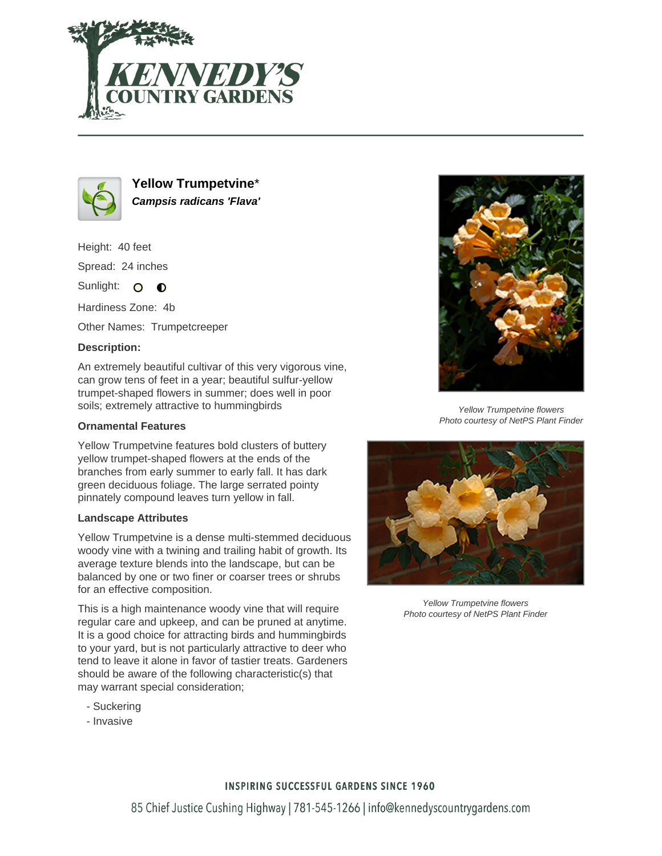



**Yellow Trumpetvine**\* **Campsis radicans 'Flava'**

Height: 40 feet Spread: 24 inches

Sunlight: O **O** 

Hardiness Zone: 4b

Other Names: Trumpetcreeper

## **Description:**

An extremely beautiful cultivar of this very vigorous vine, can grow tens of feet in a year; beautiful sulfur-yellow trumpet-shaped flowers in summer; does well in poor soils; extremely attractive to hummingbirds

## **Ornamental Features**

Yellow Trumpetvine features bold clusters of buttery yellow trumpet-shaped flowers at the ends of the branches from early summer to early fall. It has dark green deciduous foliage. The large serrated pointy pinnately compound leaves turn yellow in fall.

## **Landscape Attributes**

Yellow Trumpetvine is a dense multi-stemmed deciduous woody vine with a twining and trailing habit of growth. Its average texture blends into the landscape, but can be balanced by one or two finer or coarser trees or shrubs for an effective composition.

This is a high maintenance woody vine that will require regular care and upkeep, and can be pruned at anytime. It is a good choice for attracting birds and hummingbirds to your yard, but is not particularly attractive to deer who tend to leave it alone in favor of tastier treats. Gardeners should be aware of the following characteristic(s) that may warrant special consideration;

- Suckering
- Invasive



Yellow Trumpetvine flowers Photo courtesy of NetPS Plant Finder



Yellow Trumpetvine flowers Photo courtesy of NetPS Plant Finder